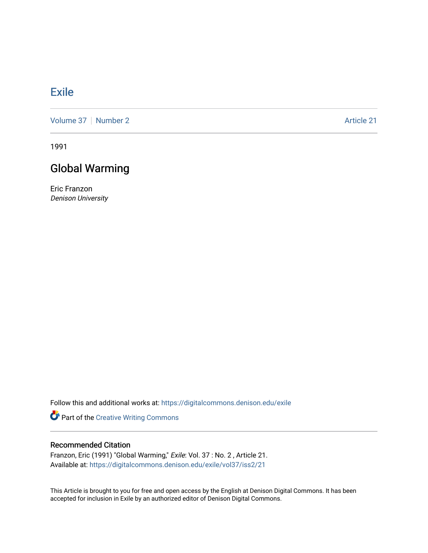## [Exile](https://digitalcommons.denison.edu/exile)

[Volume 37](https://digitalcommons.denison.edu/exile/vol37) | [Number 2](https://digitalcommons.denison.edu/exile/vol37/iss2) Article 21

1991

## Global Warming

Eric Franzon Denison University

Follow this and additional works at: [https://digitalcommons.denison.edu/exile](https://digitalcommons.denison.edu/exile?utm_source=digitalcommons.denison.edu%2Fexile%2Fvol37%2Fiss2%2F21&utm_medium=PDF&utm_campaign=PDFCoverPages) 

Part of the [Creative Writing Commons](http://network.bepress.com/hgg/discipline/574?utm_source=digitalcommons.denison.edu%2Fexile%2Fvol37%2Fiss2%2F21&utm_medium=PDF&utm_campaign=PDFCoverPages) 

## Recommended Citation

Franzon, Eric (1991) "Global Warming," Exile: Vol. 37 : No. 2 , Article 21. Available at: [https://digitalcommons.denison.edu/exile/vol37/iss2/21](https://digitalcommons.denison.edu/exile/vol37/iss2/21?utm_source=digitalcommons.denison.edu%2Fexile%2Fvol37%2Fiss2%2F21&utm_medium=PDF&utm_campaign=PDFCoverPages)

This Article is brought to you for free and open access by the English at Denison Digital Commons. It has been accepted for inclusion in Exile by an authorized editor of Denison Digital Commons.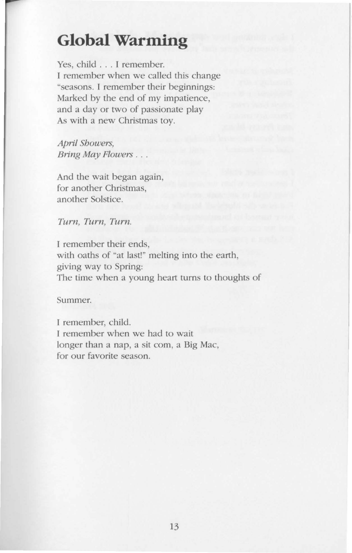## **Global Warming**

Yes, child ... I remember. I remember when we called this change "seasons. I remember their beginnings: Marked by the end of my impatience, and a day or two of passionate play As with a new Christmas toy.

April Showers, Bring May Flowers . ..

And the wait began again, for another Christmas, another Solstice.

Turn, Turn, Turn.

I remember their ends, with oaths of "at last!" melting into the earth, giving way to Spring: The time when a young heart turns to thoughts of

Summer.

I remember, child. I remember when we had to wait longer than a nap, a sit com, a Big Mac, for our favorite season.